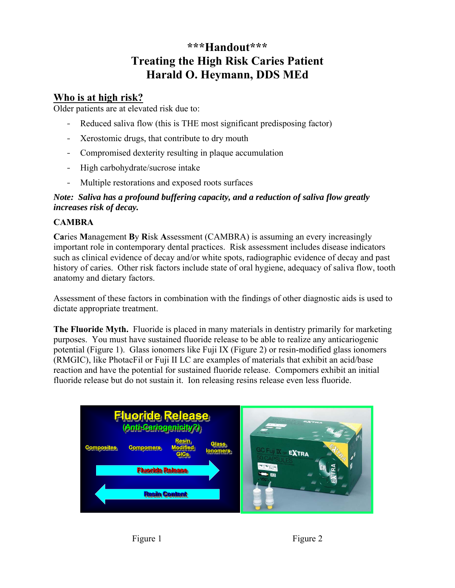# **\*\*\*Handout\*\*\* Treating the High Risk Caries Patient Harald O. Heymann, DDS MEd**

## **Who is at high risk?**

Older patients are at elevated risk due to:

- Reduced saliva flow (this is THE most significant predisposing factor)
- Xerostomic drugs, that contribute to dry mouth
- Compromised dexterity resulting in plaque accumulation
- High carbohydrate/sucrose intake
- Multiple restorations and exposed roots surfaces

#### *Note: Saliva has a profound buffering capacity, and a reduction of saliva flow greatly increases risk of decay.*

### **CAMBRA**

**Ca**ries **M**anagement **B**y **R**isk **A**ssessment (CAMBRA) is assuming an every increasingly important role in contemporary dental practices. Risk assessment includes disease indicators such as clinical evidence of decay and/or white spots, radiographic evidence of decay and past history of caries. Other risk factors include state of oral hygiene, adequacy of saliva flow, tooth anatomy and dietary factors.

Assessment of these factors in combination with the findings of other diagnostic aids is used to dictate appropriate treatment.

**The Fluoride Myth.** Fluoride is placed in many materials in dentistry primarily for marketing purposes. You must have sustained fluoride release to be able to realize any anticariogenic potential (Figure 1). Glass ionomers like Fuji IX (Figure 2) or resin-modified glass ionomers (RMGIC), like PhotacFil or Fuji II LC are examples of materials that exhibit an acid/base reaction and have the potential for sustained fluoride release. Compomers exhibit an initial fluoride release but do not sustain it. Ion releasing resins release even less fluoride.